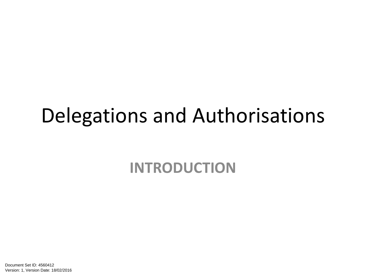#### Delegations and Authorisations

**INTRODUCTION**

Document Set ID: 4560412<br>Version: 1, Version Date: 18/02/2016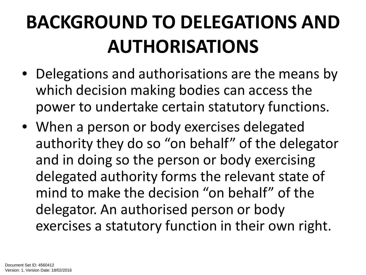### **BACKGROUND TO DELEGATIONS AND AUTHORISATIONS**

- Delegations and authorisations are the means by which decision making bodies can access the power to undertake certain statutory functions.
- When a person or body exercises delegated authority they do so "on behalf" of the delegator and in doing so the person or body exercising delegated authority forms the relevant state of mind to make the decision "on behalf" of the delegator. An authorised person or body exercises a statutory function in their own right.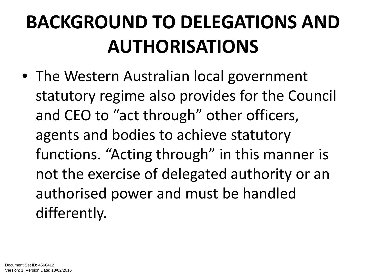### **BACKGROUND TO DELEGATIONS AND AUTHORISATIONS**

• The Western Australian local government statutory regime also provides for the Council and CEO to "act through" other officers, agents and bodies to achieve statutory functions. "Acting through" in this manner is not the exercise of delegated authority or an authorised power and must be handled differently.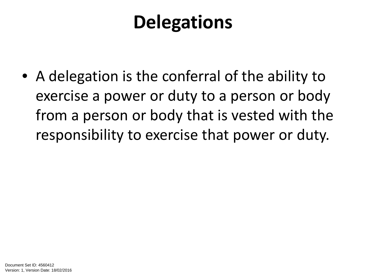#### **Delegations**

• A delegation is the conferral of the ability to exercise a power or duty to a person or body from a person or body that is vested with the responsibility to exercise that power or duty.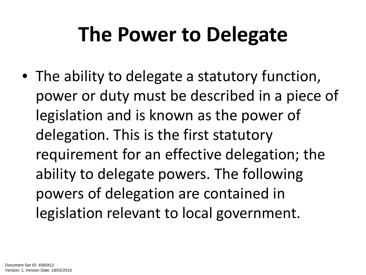### **The Power to Delegate**

• The ability to delegate a statutory function, power or duty must be described in a piece of legislation and is known as the power of delegation. This is the first statutory requirement for an effective delegation; the ability to delegate powers. The following powers of delegation are contained in legislation relevant to local government.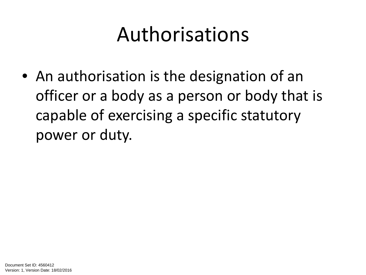### Authorisations

• An authorisation is the designation of an officer or a body as a person or body that is capable of exercising a specific statutory power or duty.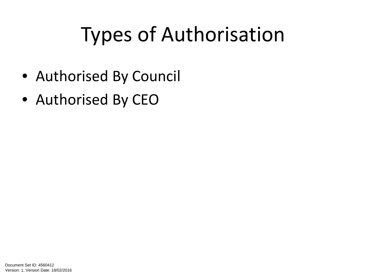### Types of Authorisation

- Authorised By Council
- Authorised By CEO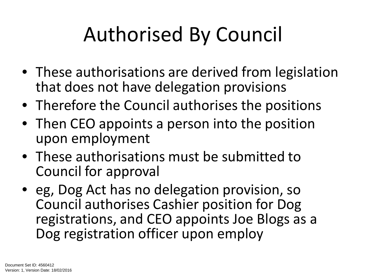## Authorised By Council

- These authorisations are derived from legislation that does not have delegation provisions
- Therefore the Council authorises the positions
- Then CEO appoints a person into the position upon employment
- These authorisations must be submitted to Council for approval
- eg, Dog Act has no delegation provision, so Council authorises Cashier position for Dog registrations, and CEO appoints Joe Blogs as a Dog registration officer upon employ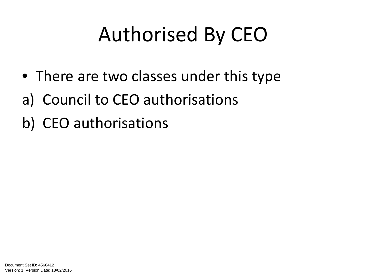## Authorised By CEO

- There are two classes under this type
- a) Council to CEO authorisations
- b) CEO authorisations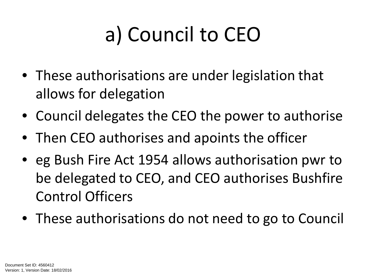# a) Council to CEO

- These authorisations are under legislation that allows for delegation
- Council delegates the CEO the power to authorise
- Then CEO authorises and apoints the officer
- eg Bush Fire Act 1954 allows authorisation pwr to be delegated to CEO, and CEO authorises Bushfire Control Officers
- These authorisations do not need to go to Council